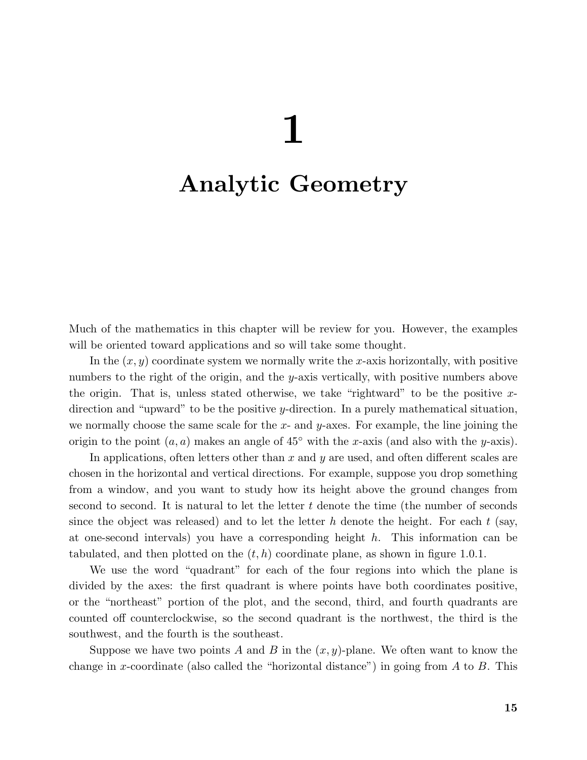# Analytic Geometry

Much of the mathematics in this chapter will be review for you. However, the examples will be oriented toward applications and so will take some thought.

In the  $(x, y)$  coordinate system we normally write the x-axis horizontally, with positive numbers to the right of the origin, and the y-axis vertically, with positive numbers above the origin. That is, unless stated otherwise, we take "rightward" to be the positive  $x$ direction and "upward" to be the positive y-direction. In a purely mathematical situation, we normally choose the same scale for the  $x$ - and  $y$ -axes. For example, the line joining the origin to the point  $(a, a)$  makes an angle of 45 $\degree$  with the x-axis (and also with the y-axis).

In applications, often letters other than  $x$  and  $y$  are used, and often different scales are chosen in the horizontal and vertical directions. For example, suppose you drop something from a window, and you want to study how its height above the ground changes from second to second. It is natural to let the letter  $t$  denote the time (the number of seconds since the object was released) and to let the letter h denote the height. For each  $t$  (say, at one-second intervals) you have a corresponding height h. This information can be tabulated, and then plotted on the  $(t, h)$  coordinate plane, as shown in figure 1.0.1.

We use the word "quadrant" for each of the four regions into which the plane is divided by the axes: the first quadrant is where points have both coordinates positive, or the "northeast" portion of the plot, and the second, third, and fourth quadrants are counted off counterclockwise, so the second quadrant is the northwest, the third is the southwest, and the fourth is the southeast.

Suppose we have two points A and B in the  $(x, y)$ -plane. We often want to know the change in x-coordinate (also called the "horizontal distance") in going from A to B. This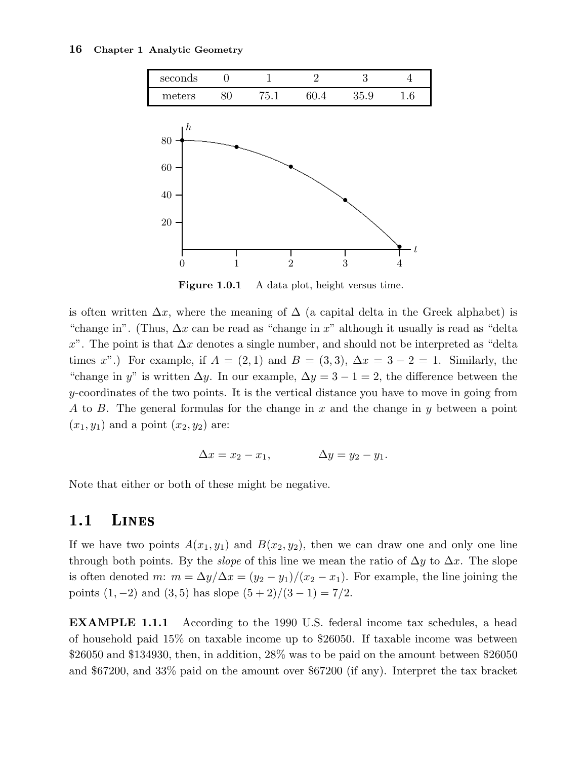

Figure 1.0.1 A data plot, height versus time.

is often written  $\Delta x$ , where the meaning of  $\Delta$  (a capital delta in the Greek alphabet) is "change in". (Thus,  $\Delta x$  can be read as "change in x" although it usually is read as "delta" x". The point is that  $\Delta x$  denotes a single number, and should not be interpreted as "delta" times x".) For example, if  $A = (2, 1)$  and  $B = (3, 3)$ ,  $\Delta x = 3 - 2 = 1$ . Similarly, the "change in y" is written  $\Delta y$ . In our example,  $\Delta y = 3 - 1 = 2$ , the difference between the y-coordinates of the two points. It is the vertical distance you have to move in going from A to B. The general formulas for the change in x and the change in y between a point  $(x_1, y_1)$  and a point  $(x_2, y_2)$  are:

$$
\Delta x = x_2 - x_1, \qquad \qquad \Delta y = y_2 - y_1.
$$

Note that either or both of these might be negative.

### 1.1 Lines

If we have two points  $A(x_1, y_1)$  and  $B(x_2, y_2)$ , then we can draw one and only one line through both points. By the *slope* of this line we mean the ratio of  $\Delta y$  to  $\Delta x$ . The slope is often denoted m:  $m = \Delta y/\Delta x = (y_2 - y_1)/(x_2 - x_1)$ . For example, the line joining the points  $(1, -2)$  and  $(3, 5)$  has slope  $(5 + 2)/(3 - 1) = 7/2$ .

EXAMPLE 1.1.1 According to the 1990 U.S. federal income tax schedules, a head of household paid 15% on taxable income up to \$26050. If taxable income was between \$26050 and \$134930, then, in addition, 28% was to be paid on the amount between \$26050 and \$67200, and 33% paid on the amount over \$67200 (if any). Interpret the tax bracket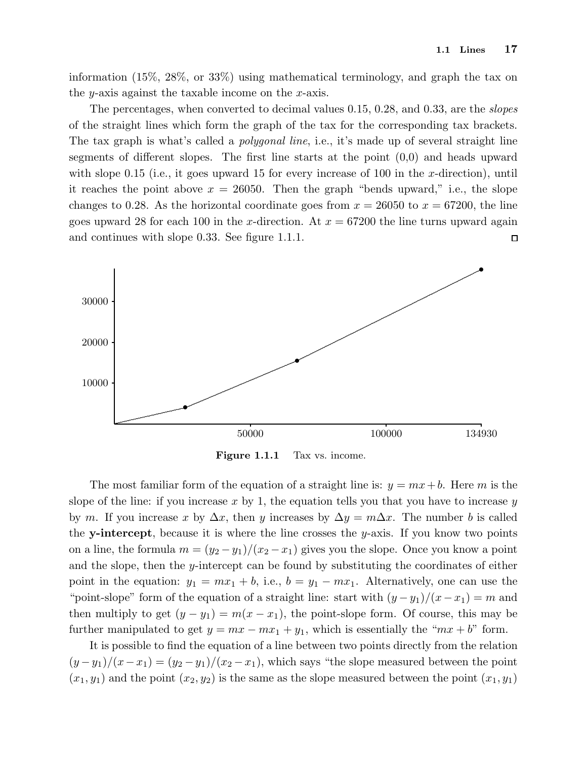information (15%, 28%, or 33%) using mathematical terminology, and graph the tax on the y-axis against the taxable income on the x-axis.

The percentages, when converted to decimal values 0.15, 0.28, and 0.33, are the *slopes* of the straight lines which form the graph of the tax for the corresponding tax brackets. The tax graph is what's called a *polygonal line*, i.e., it's made up of several straight line segments of different slopes. The first line starts at the point  $(0,0)$  and heads upward with slope 0.15 (i.e., it goes upward 15 for every increase of 100 in the x-direction), until it reaches the point above  $x = 26050$ . Then the graph "bends upward," i.e., the slope changes to 0.28. As the horizontal coordinate goes from  $x = 26050$  to  $x = 67200$ , the line goes upward 28 for each 100 in the x-direction. At  $x = 67200$  the line turns upward again and continues with slope 0.33. See figure 1.1.1.  $\Box$ 



Figure 1.1.1 Tax vs. income.

The most familiar form of the equation of a straight line is:  $y = mx + b$ . Here m is the slope of the line: if you increase x by 1, the equation tells you that you have to increase y by m. If you increase x by  $\Delta x$ , then y increases by  $\Delta y = m\Delta x$ . The number b is called the **y-intercept**, because it is where the line crosses the y-axis. If you know two points on a line, the formula  $m = (y_2 - y_1)/(x_2 - x_1)$  gives you the slope. Once you know a point and the slope, then the y-intercept can be found by substituting the coordinates of either point in the equation:  $y_1 = mx_1 + b$ , i.e.,  $b = y_1 - mx_1$ . Alternatively, one can use the "point-slope" form of the equation of a straight line: start with  $(y - y_1)/(x - x_1) = m$  and then multiply to get  $(y - y_1) = m(x - x_1)$ , the point-slope form. Of course, this may be further manipulated to get  $y = mx - mx_1 + y_1$ , which is essentially the " $mx + b$ " form.

It is possible to find the equation of a line between two points directly from the relation  $(y-y_1)/(x-x_1)=(y_2-y_1)/(x_2-x_1)$ , which says "the slope measured between the point  $(x_1, y_1)$  and the point  $(x_2, y_2)$  is the same as the slope measured between the point  $(x_1, y_1)$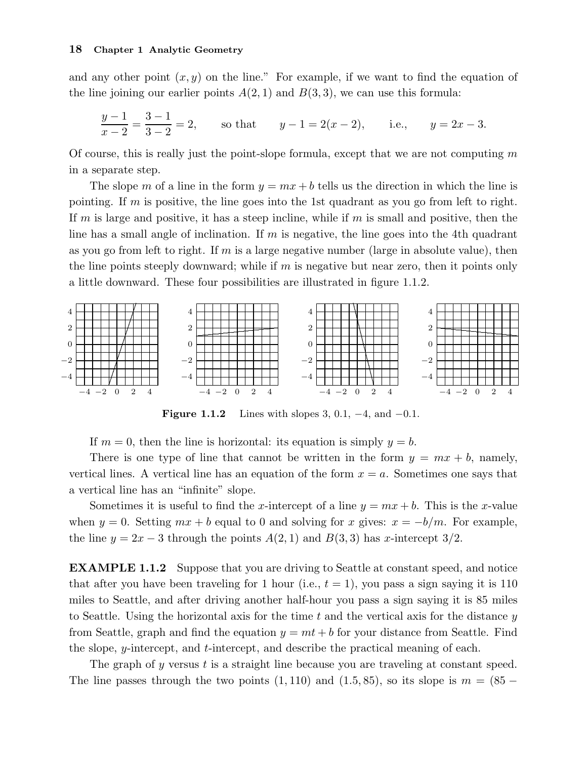#### 18 Chapter 1 Analytic Geometry

and any other point  $(x, y)$  on the line." For example, if we want to find the equation of the line joining our earlier points  $A(2,1)$  and  $B(3,3)$ , we can use this formula:

$$
\frac{y-1}{x-2} = \frac{3-1}{3-2} = 2,
$$
 so that  $y-1 = 2(x-2)$ , i.e.,  $y = 2x - 3$ .

Of course, this is really just the point-slope formula, except that we are not computing  $m$ in a separate step.

The slope m of a line in the form  $y = mx + b$  tells us the direction in which the line is pointing. If  $m$  is positive, the line goes into the 1st quadrant as you go from left to right. If m is large and positive, it has a steep incline, while if m is small and positive, then the line has a small angle of inclination. If m is negative, the line goes into the 4th quadrant as you go from left to right. If m is a large negative number (large in absolute value), then the line points steeply downward; while if  $m$  is negative but near zero, then it points only a little downward. These four possibilities are illustrated in figure 1.1.2.



Figure 1.1.2 Lines with slopes 3, 0.1,  $-4$ , and  $-0.1$ .

If  $m = 0$ , then the line is horizontal: its equation is simply  $y = b$ .

There is one type of line that cannot be written in the form  $y = mx + b$ , namely, vertical lines. A vertical line has an equation of the form  $x = a$ . Sometimes one says that a vertical line has an "infinite" slope.

Sometimes it is useful to find the x-intercept of a line  $y = mx + b$ . This is the x-value when  $y = 0$ . Setting  $mx + b$  equal to 0 and solving for x gives:  $x = -b/m$ . For example, the line  $y = 2x - 3$  through the points  $A(2, 1)$  and  $B(3, 3)$  has x-intercept 3/2.

EXAMPLE 1.1.2 Suppose that you are driving to Seattle at constant speed, and notice that after you have been traveling for 1 hour (i.e.,  $t = 1$ ), you pass a sign saying it is 110 miles to Seattle, and after driving another half-hour you pass a sign saying it is 85 miles to Seattle. Using the horizontal axis for the time  $t$  and the vertical axis for the distance  $y$ from Seattle, graph and find the equation  $y = mt + b$  for your distance from Seattle. Find the slope, y-intercept, and t-intercept, and describe the practical meaning of each.

The graph of  $y$  versus  $t$  is a straight line because you are traveling at constant speed. The line passes through the two points  $(1, 110)$  and  $(1.5, 85)$ , so its slope is  $m = (85 - 10)$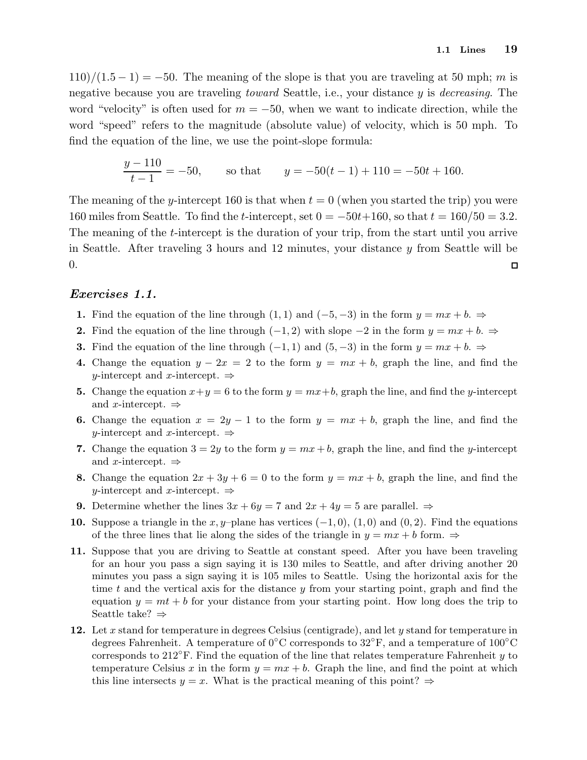$110)/(1.5-1) = -50$ . The meaning of the slope is that you are traveling at 50 mph; m is negative because you are traveling *toward* Seattle, i.e., your distance y is *decreasing*. The word "velocity" is often used for  $m = -50$ , when we want to indicate direction, while the word "speed" refers to the magnitude (absolute value) of velocity, which is 50 mph. To find the equation of the line, we use the point-slope formula:

$$
\frac{y - 110}{t - 1} = -50, \qquad \text{so that} \qquad y = -50(t - 1) + 110 = -50t + 160.
$$

The meaning of the y-intercept 160 is that when  $t = 0$  (when you started the trip) you were 160 miles from Seattle. To find the t-intercept, set  $0 = -50t+160$ , so that  $t = 160/50 = 3.2$ . The meaning of the *t*-intercept is the duration of your trip, from the start until you arrive in Seattle. After traveling 3 hours and 12 minutes, your distance  $y$  from Seattle will be 0.  $\Box$ 

#### Exercises 1.1.

- 1. Find the equation of the line through (1, 1) and (-5, -3) in the form  $y = mx + b$ .  $\Rightarrow$
- 2. Find the equation of the line through  $(-1, 2)$  with slope  $-2$  in the form  $y = mx + b$ .  $\Rightarrow$
- 3. Find the equation of the line through  $(-1, 1)$  and  $(5, -3)$  in the form  $y = mx + b$ .
- 4. Change the equation  $y 2x = 2$  to the form  $y = mx + b$ , graph the line, and find the y-intercept and x-intercept.  $\Rightarrow$
- 5. Change the equation  $x+y=6$  to the form  $y=mx+b$ , graph the line, and find the y-intercept and x-intercept.  $\Rightarrow$
- 6. Change the equation  $x = 2y 1$  to the form  $y = mx + b$ , graph the line, and find the y-intercept and x-intercept.  $\Rightarrow$
- 7. Change the equation  $3 = 2y$  to the form  $y = mx + b$ , graph the line, and find the y-intercept and x-intercept.  $\Rightarrow$
- 8. Change the equation  $2x + 3y + 6 = 0$  to the form  $y = mx + b$ , graph the line, and find the y-intercept and x-intercept.  $\Rightarrow$
- 9. Determine whether the lines  $3x + 6y = 7$  and  $2x + 4y = 5$  are parallel.  $\Rightarrow$
- 10. Suppose a triangle in the x, y–plane has vertices  $(-1,0)$ ,  $(1,0)$  and  $(0,2)$ . Find the equations of the three lines that lie along the sides of the triangle in  $y = mx + b$  form.  $\Rightarrow$
- 11. Suppose that you are driving to Seattle at constant speed. After you have been traveling for an hour you pass a sign saying it is 130 miles to Seattle, and after driving another 20 minutes you pass a sign saying it is 105 miles to Seattle. Using the horizontal axis for the time t and the vertical axis for the distance  $y$  from your starting point, graph and find the equation  $y = mt + b$  for your distance from your starting point. How long does the trip to Seattle take? ⇒
- 12. Let x stand for temperature in degrees Celsius (centigrade), and let y stand for temperature in degrees Fahrenheit. A temperature of 0<sup>°</sup>C corresponds to  $32^{\circ}$ F, and a temperature of  $100^{\circ}$ C corresponds to 212 $\degree$ F. Find the equation of the line that relates temperature Fahrenheit y to temperature Celsius x in the form  $y = mx + b$ . Graph the line, and find the point at which this line intersects  $y = x$ . What is the practical meaning of this point?  $\Rightarrow$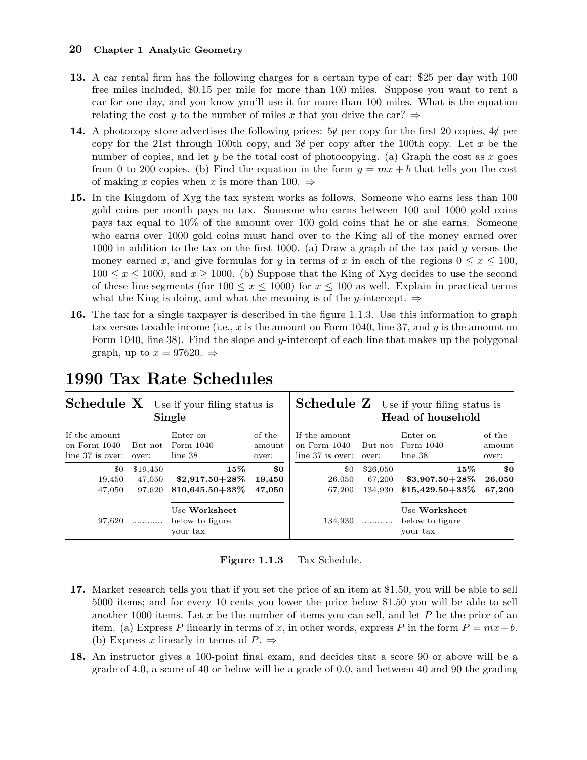#### 20 Chapter 1 Analytic Geometry

- 13. A car rental firm has the following charges for a certain type of car: \$25 per day with 100 free miles included, \$0.15 per mile for more than 100 miles. Suppose you want to rent a car for one day, and you know you'll use it for more than 100 miles. What is the equation relating the cost y to the number of miles x that you drive the car?  $\Rightarrow$
- 14. A photocopy store advertises the following prices:  $5¢$  per copy for the first 20 copies,  $4¢$  per copy for the 21st through 100th copy, and  $3\phi$  per copy after the 100th copy. Let x be the number of copies, and let  $y$  be the total cost of photocopying. (a) Graph the cost as  $x$  goes from 0 to 200 copies. (b) Find the equation in the form  $y = mx + b$  that tells you the cost of making x copies when x is more than 100.  $\Rightarrow$
- 15. In the Kingdom of Xyg the tax system works as follows. Someone who earns less than 100 gold coins per month pays no tax. Someone who earns between 100 and 1000 gold coins pays tax equal to 10% of the amount over 100 gold coins that he or she earns. Someone who earns over 1000 gold coins must hand over to the King all of the money earned over 1000 in addition to the tax on the first 1000. (a) Draw a graph of the tax paid  $y$  versus the money earned x, and give formulas for y in terms of x in each of the regions  $0 \leq x \leq 100$ ,  $100 \le x \le 1000$ , and  $x \ge 1000$ . (b) Suppose that the King of Xyg decides to use the second of these line segments (for  $100 \le x \le 1000$ ) for  $x \le 100$  as well. Explain in practical terms what the King is doing, and what the meaning is of the y-intercept.  $\Rightarrow$
- 16. The tax for a single taxpayer is described in the figure 1.1.3. Use this information to graph tax versus taxable income (i.e.,  $x$  is the amount on Form 1040, line 37, and  $y$  is the amount on Form 1040, line 38). Find the slope and y-intercept of each line that makes up the polygonal graph, up to  $x = 97620$ .  $\Rightarrow$

| <b>Schedule X</b> —Use if your filing status is     |                  |                                              |                           | <b>Schedule Z</b> —Use if your filing status is   |                  |                                              |                           |
|-----------------------------------------------------|------------------|----------------------------------------------|---------------------------|---------------------------------------------------|------------------|----------------------------------------------|---------------------------|
| Single                                              |                  |                                              |                           | Head of household                                 |                  |                                              |                           |
| If the amount<br>on Form $1040$<br>line 37 is over: | But not<br>over: | Enter on<br>Form 1040<br>line 38             | of the<br>amount<br>over: | If the amount<br>on Form 1040<br>line 37 is over: | But not<br>over: | Enter on<br>Form $1040$<br>line 38           | of the<br>amount<br>over: |
| \$0                                                 | \$19,450         | 15%                                          | \$0                       | \$0                                               | \$26,050         | 15%                                          | \$0                       |
| 19,450                                              | 47,050           | $$2,917.50 + 28\%$                           | 19,450                    | 26,050                                            | 67,200           | $$3,907.50 + 28\%$                           | 26,050                    |
| 47,050                                              | 97,620           | $$10,645.50 + 33\%$                          | 47,050                    | 67,200                                            | 134,930          | $$15,429.50 + 33\%$                          | 67,200                    |
| 97.620                                              | .                | Use Worksheet<br>below to figure<br>your tax |                           | 134.930                                           | .                | Use Worksheet<br>below to figure<br>your tax |                           |

## 1990 Tax Rate Schedules

Figure 1.1.3 Tax Schedule.

- 17. Market research tells you that if you set the price of an item at \$1.50, you will be able to sell 5000 items; and for every 10 cents you lower the price below \$1.50 you will be able to sell another 1000 items. Let x be the number of items you can sell, and let P be the price of an item. (a) Express P linearly in terms of x, in other words, express P in the form  $P = mx + b$ . (b) Express x linearly in terms of  $P \Rightarrow$
- 18. An instructor gives a 100-point final exam, and decides that a score 90 or above will be a grade of 4.0, a score of 40 or below will be a grade of 0.0, and between 40 and 90 the grading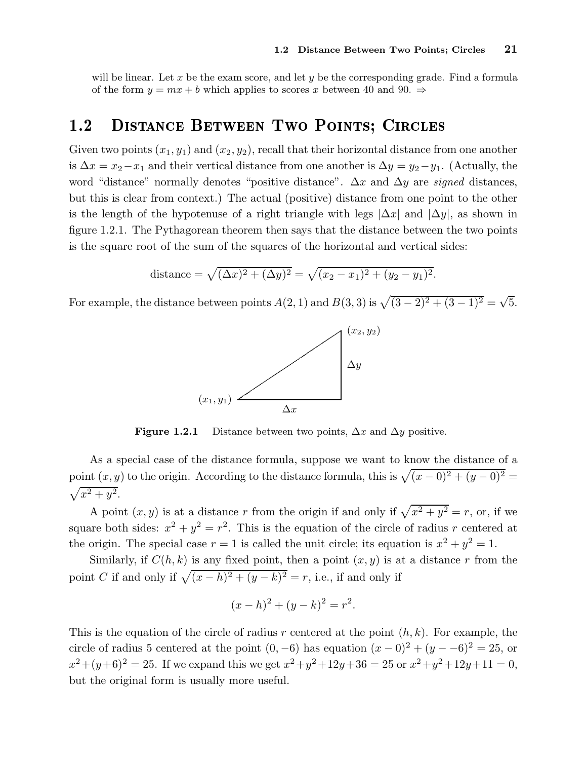will be linear. Let x be the exam score, and let y be the corresponding grade. Find a formula of the form  $y = mx + b$  which applies to scores x between 40 and 90.  $\Rightarrow$ 

### 1.2 DISTANCE BETWEEN TWO POINTS; CIRCLES

Given two points  $(x_1, y_1)$  and  $(x_2, y_2)$ , recall that their horizontal distance from one another is  $\Delta x = x_2 - x_1$  and their vertical distance from one another is  $\Delta y = y_2 - y_1$ . (Actually, the word "distance" normally denotes "positive distance".  $\Delta x$  and  $\Delta y$  are *signed* distances, but this is clear from context.) The actual (positive) distance from one point to the other is the length of the hypotenuse of a right triangle with legs  $|\Delta x|$  and  $|\Delta y|$ , as shown in figure 1.2.1. The Pythagorean theorem then says that the distance between the two points is the square root of the sum of the squares of the horizontal and vertical sides:

distance = 
$$
\sqrt{(\Delta x)^2 + (\Delta y)^2}
$$
 =  $\sqrt{(x_2 - x_1)^2 + (y_2 - y_1)^2}$ .

For example, the distance between points  $A(2, 1)$  and  $B(3, 3)$  is  $\sqrt{(3-2)^2 + (3-1)^2} = \sqrt{5}$ .



**Figure 1.2.1** Distance between two points,  $\Delta x$  and  $\Delta y$  positive.

As a special case of the distance formula, suppose we want to know the distance of a point  $(x, y)$  to the origin. According to the distance formula, this is  $\sqrt{(x-0)^2 + (y-0)^2} =$  $\sqrt{x^2+y^2}$ .

A point  $(x, y)$  is at a distance r from the origin if and only if  $\sqrt{x^2 + y^2} = r$ , or, if we square both sides:  $x^2 + y^2 = r^2$ . This is the equation of the circle of radius r centered at the origin. The special case  $r = 1$  is called the unit circle; its equation is  $x^2 + y^2 = 1$ .

Similarly, if  $C(h, k)$  is any fixed point, then a point  $(x, y)$  is at a distance r from the point C if and only if  $\sqrt{(x-h)^2 + (y-k)^2} = r$ , i.e., if and only if

$$
(x-h)^2 + (y-k)^2 = r^2.
$$

This is the equation of the circle of radius r centered at the point  $(h, k)$ . For example, the circle of radius 5 centered at the point  $(0, -6)$  has equation  $(x - 0)^2 + (y - 6)^2 = 25$ , or  $x^2 + (y+6)^2 = 25$ . If we expand this we get  $x^2 + y^2 + 12y + 36 = 25$  or  $x^2 + y^2 + 12y + 11 = 0$ , but the original form is usually more useful.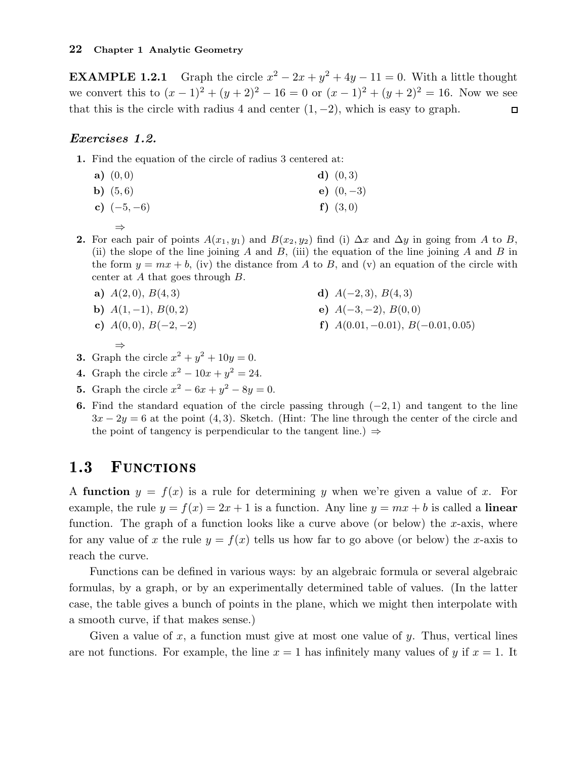**EXAMPLE 1.2.1** Graph the circle  $x^2 - 2x + y^2 + 4y - 11 = 0$ . With a little thought we convert this to  $(x - 1)^2 + (y + 2)^2 - 16 = 0$  or  $(x - 1)^2 + (y + 2)^2 = 16$ . Now we see that this is the circle with radius 4 and center  $(1, -2)$ , which is easy to graph.  $\Box$ 

#### Exercises 1.2.

- 1. Find the equation of the circle of radius 3 centered at:
	- **a**)  $(0, 0)$  **d**)  $(0, 3)$ **b)**  $(5, 6)$  e)  $(0, -3)$ c)  $(-5,-6)$  f)  $(3,0)$ 
		- ⇒
- 2. For each pair of points  $A(x_1, y_1)$  and  $B(x_2, y_2)$  find (i)  $\Delta x$  and  $\Delta y$  in going from A to B, (ii) the slope of the line joining  $A$  and  $B$ , (iii) the equation of the line joining  $A$  and  $B$  in the form  $y = mx + b$ , (iv) the distance from A to B, and (v) an equation of the circle with center at  $A$  that goes through  $B$ .
	- a)  $A(2,0), B(4,3)$  d)  $A(-2,3), B(4,3)$ **b**)  $A(1, -1), B(0, 2)$  **e**)  $A(-3, -2), B(0, 0)$ c)  $A(0,0), B(-2,-2)$  f)  $A(0.01,-0.01), B(-0.01,0.05)$

$$
\Rightarrow
$$

- **3.** Graph the circle  $x^2 + y^2 + 10y = 0$ .
- 4. Graph the circle  $x^2 10x + y^2 = 24$ .
- **5.** Graph the circle  $x^2 6x + y^2 8y = 0$ .
- 6. Find the standard equation of the circle passing through  $(-2, 1)$  and tangent to the line  $3x - 2y = 6$  at the point (4, 3). Sketch. (Hint: The line through the center of the circle and the point of tangency is perpendicular to the tangent line.)  $\Rightarrow$

### 1.3 FUNCTIONS

A function  $y = f(x)$  is a rule for determining y when we're given a value of x. For example, the rule  $y = f(x) = 2x + 1$  is a function. Any line  $y = mx + b$  is called a linear function. The graph of a function looks like a curve above (or below) the x-axis, where for any value of x the rule  $y = f(x)$  tells us how far to go above (or below) the x-axis to reach the curve.

Functions can be defined in various ways: by an algebraic formula or several algebraic formulas, by a graph, or by an experimentally determined table of values. (In the latter case, the table gives a bunch of points in the plane, which we might then interpolate with a smooth curve, if that makes sense.)

Given a value of x, a function must give at most one value of y. Thus, vertical lines are not functions. For example, the line  $x = 1$  has infinitely many values of y if  $x = 1$ . It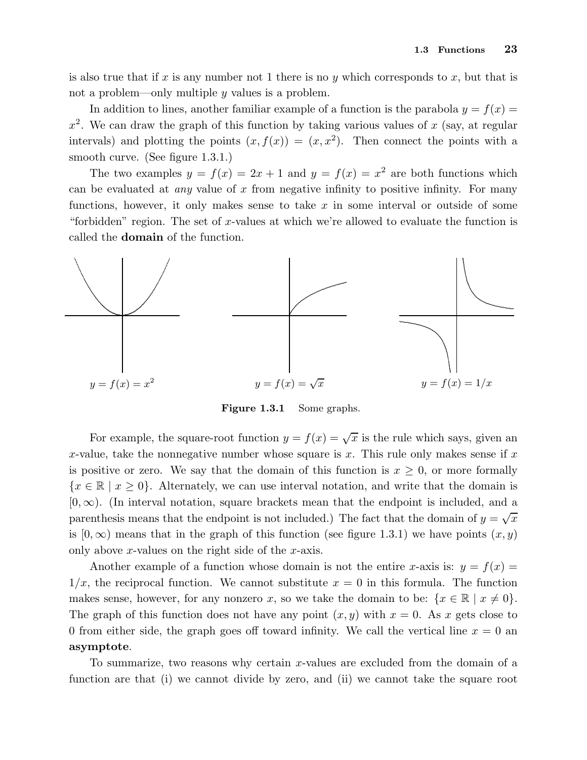is also true that if x is any number not 1 there is no y which corresponds to x, but that is not a problem—only multiple y values is a problem.

In addition to lines, another familiar example of a function is the parabola  $y = f(x) =$  $x^2$ . We can draw the graph of this function by taking various values of x (say, at regular intervals) and plotting the points  $(x, f(x)) = (x, x^2)$ . Then connect the points with a smooth curve. (See figure 1.3.1.)

The two examples  $y = f(x) = 2x + 1$  and  $y = f(x) = x^2$  are both functions which can be evaluated at *any* value of  $x$  from negative infinity to positive infinity. For many functions, however, it only makes sense to take  $x$  in some interval or outside of some "forbidden" region. The set of x-values at which we're allowed to evaluate the function is called the domain of the function.



Figure 1.3.1 Some graphs.

For example, the square-root function  $y = f(x) = \sqrt{x}$  is the rule which says, given an x-value, take the nonnegative number whose square is  $x$ . This rule only makes sense if  $x$ is positive or zero. We say that the domain of this function is  $x \geq 0$ , or more formally  ${x \in \mathbb{R} \mid x \ge 0}$ . Alternately, we can use interval notation, and write that the domain is  $[0, \infty)$ . (In interval notation, square brackets mean that the endpoint is included, and a parenthesis means that the endpoint is not included.) The fact that the domain of  $y = \sqrt{x}$ is  $[0, \infty)$  means that in the graph of this function (see figure 1.3.1) we have points  $(x, y)$ only above x-values on the right side of the  $x$ -axis.

Another example of a function whose domain is not the entire x-axis is:  $y = f(x) =$  $1/x$ , the reciprocal function. We cannot substitute  $x = 0$  in this formula. The function makes sense, however, for any nonzero x, so we take the domain to be:  $\{x \in \mathbb{R} \mid x \neq 0\}$ . The graph of this function does not have any point  $(x, y)$  with  $x = 0$ . As x gets close to 0 from either side, the graph goes off toward infinity. We call the vertical line  $x = 0$  and asymptote.

To summarize, two reasons why certain x-values are excluded from the domain of a function are that (i) we cannot divide by zero, and (ii) we cannot take the square root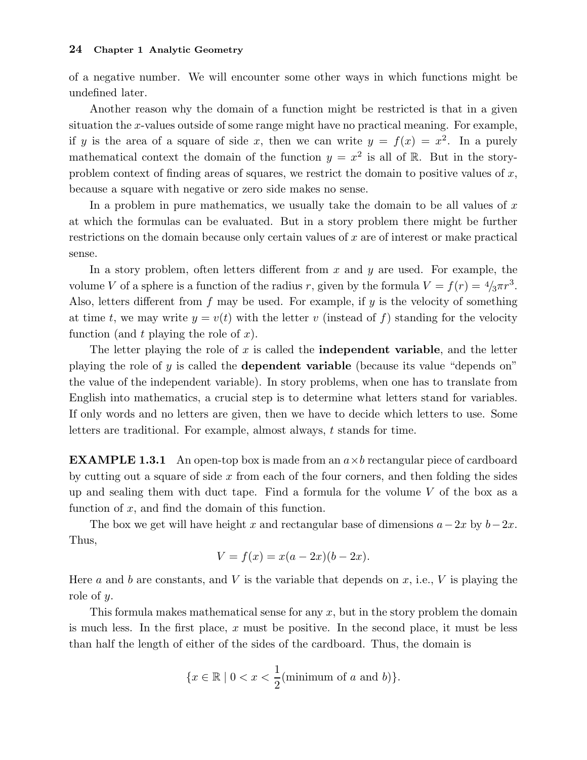of a negative number. We will encounter some other ways in which functions might be undefined later.

Another reason why the domain of a function might be restricted is that in a given situation the x-values outside of some range might have no practical meaning. For example, if y is the area of a square of side x, then we can write  $y = f(x) = x^2$ . In a purely mathematical context the domain of the function  $y = x^2$  is all of R. But in the storyproblem context of finding areas of squares, we restrict the domain to positive values of  $x$ , because a square with negative or zero side makes no sense.

In a problem in pure mathematics, we usually take the domain to be all values of  $x$ at which the formulas can be evaluated. But in a story problem there might be further restrictions on the domain because only certain values of x are of interest or make practical sense.

In a story problem, often letters different from  $x$  and  $y$  are used. For example, the volume V of a sphere is a function of the radius r, given by the formula  $V = f(r) = \frac{4}{3}\pi r^3$ . Also, letters different from f may be used. For example, if  $y$  is the velocity of something at time t, we may write  $y = v(t)$  with the letter v (instead of f) standing for the velocity function (and  $t$  playing the role of  $x$ ).

The letter playing the role of  $x$  is called the **independent variable**, and the letter playing the role of y is called the **dependent variable** (because its value "depends on" the value of the independent variable). In story problems, when one has to translate from English into mathematics, a crucial step is to determine what letters stand for variables. If only words and no letters are given, then we have to decide which letters to use. Some letters are traditional. For example, almost always, t stands for time.

**EXAMPLE 1.3.1** An open-top box is made from an  $a \times b$  rectangular piece of cardboard by cutting out a square of side x from each of the four corners, and then folding the sides up and sealing them with duct tape. Find a formula for the volume  $V$  of the box as a function of  $x$ , and find the domain of this function.

The box we get will have height x and rectangular base of dimensions  $a-2x$  by  $b-2x$ . Thus,

$$
V = f(x) = x(a - 2x)(b - 2x).
$$

Here a and b are constants, and V is the variable that depends on x, i.e., V is playing the role of y.

This formula makes mathematical sense for any  $x$ , but in the story problem the domain is much less. In the first place,  $x$  must be positive. In the second place, it must be less than half the length of either of the sides of the cardboard. Thus, the domain is

$$
\{x \in \mathbb{R} \mid 0 < x < \frac{1}{2}(\text{minimum of } a \text{ and } b)\}.
$$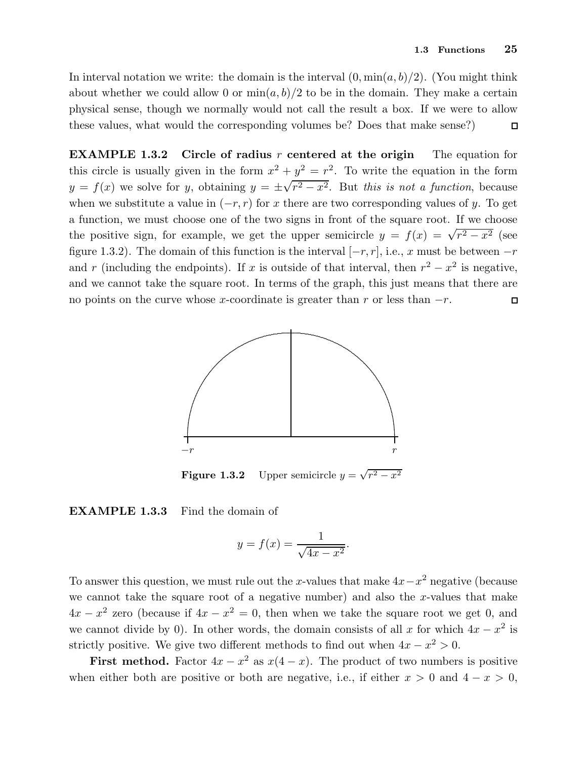In interval notation we write: the domain is the interval  $(0, \min(a, b)/2)$ . (You might think about whether we could allow 0 or  $\min(a, b)/2$  to be in the domain. They make a certain physical sense, though we normally would not call the result a box. If we were to allow these values, what would the corresponding volumes be? Does that make sense?)  $\Box$ 

**EXAMPLE 1.3.2** Circle of radius r centered at the origin The equation for this circle is usually given in the form  $x^2 + y^2 = r^2$ . To write the equation in the form  $y = f(x)$  we solve for y, obtaining  $y = \pm \sqrt{r^2 - x^2}$ . But this is not a function, because when we substitute a value in  $(-r, r)$  for x there are two corresponding values of y. To get a function, we must choose one of the two signs in front of the square root. If we choose the positive sign, for example, we get the upper semicircle  $y = f(x) = \sqrt{r^2 - x^2}$  (see figure 1.3.2). The domain of this function is the interval  $[-r, r]$ , i.e., x must be between  $-r$ and r (including the endpoints). If x is outside of that interval, then  $r^2 - x^2$  is negative, and we cannot take the square root. In terms of the graph, this just means that there are no points on the curve whose x-coordinate is greater than r or less than  $-r$ .  $\Box$ 



**Figure 1.3.2** Upper semicircle  $y = \sqrt{r^2 - x^2}$ 

### EXAMPLE 1.3.3 Find the domain of

$$
y = f(x) = \frac{1}{\sqrt{4x - x^2}}.
$$

To answer this question, we must rule out the x-values that make  $4x - x^2$  negative (because we cannot take the square root of a negative number) and also the  $x$ -values that make  $4x - x^2$  zero (because if  $4x - x^2 = 0$ , then when we take the square root we get 0, and we cannot divide by 0). In other words, the domain consists of all x for which  $4x - x^2$  is strictly positive. We give two different methods to find out when  $4x - x^2 > 0$ .

**First method.** Factor  $4x - x^2$  as  $x(4 - x)$ . The product of two numbers is positive when either both are positive or both are negative, i.e., if either  $x > 0$  and  $4 - x > 0$ ,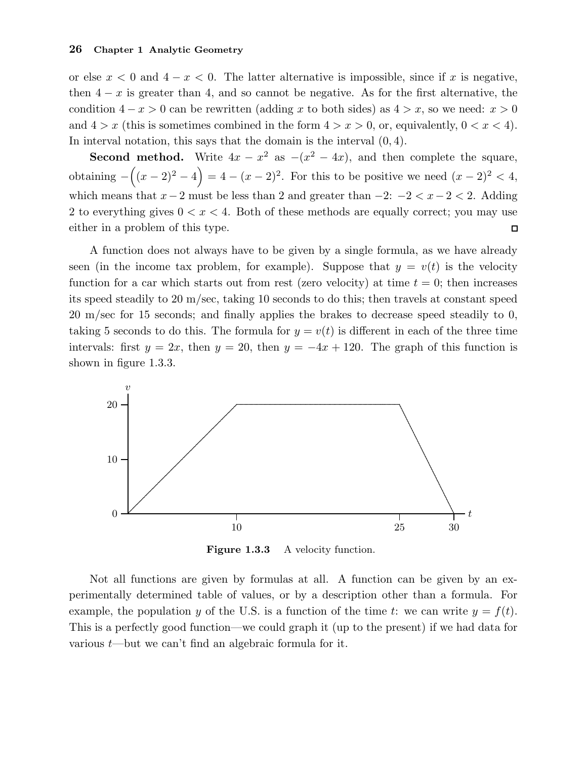or else  $x < 0$  and  $4 - x < 0$ . The latter alternative is impossible, since if x is negative, then  $4 - x$  is greater than 4, and so cannot be negative. As for the first alternative, the condition  $4-x>0$  can be rewritten (adding x to both sides) as  $4>x$ , so we need:  $x>0$ and  $4 > x$  (this is sometimes combined in the form  $4 > x > 0$ , or, equivalently,  $0 < x < 4$ ). In interval notation, this says that the domain is the interval  $(0, 4)$ .

**Second method.** Write  $4x - x^2$  as  $-(x^2 - 4x)$ , and then complete the square, obtaining  $-\left((x-2)^2-4\right)=4-(x-2)^2$ . For this to be positive we need  $(x-2)^2<4$ , which means that  $x-2$  must be less than 2 and greater than  $-2: -2 < x-2 < 2$ . Adding 2 to everything gives  $0 < x < 4$ . Both of these methods are equally correct; you may use either in a problem of this type.  $\Box$ 

A function does not always have to be given by a single formula, as we have already seen (in the income tax problem, for example). Suppose that  $y = v(t)$  is the velocity function for a car which starts out from rest (zero velocity) at time  $t = 0$ ; then increases its speed steadily to 20 m/sec, taking 10 seconds to do this; then travels at constant speed 20 m/sec for 15 seconds; and finally applies the brakes to decrease speed steadily to 0, taking 5 seconds to do this. The formula for  $y = v(t)$  is different in each of the three time intervals: first  $y = 2x$ , then  $y = 20$ , then  $y = -4x + 120$ . The graph of this function is shown in figure 1.3.3.



Figure 1.3.3 A velocity function.

Not all functions are given by formulas at all. A function can be given by an experimentally determined table of values, or by a description other than a formula. For example, the population y of the U.S. is a function of the time t: we can write  $y = f(t)$ . This is a perfectly good function—we could graph it (up to the present) if we had data for various  $t$ —but we can't find an algebraic formula for it.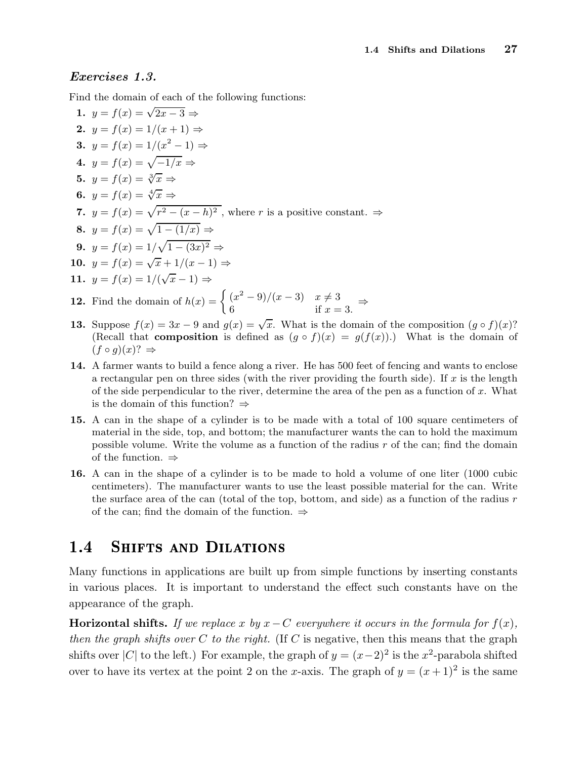#### Exercises 1.3.

Find the domain of each of the following functions:

1. 
$$
y = f(x) = \sqrt{2x - 3} \Rightarrow
$$
  
\n2.  $y = f(x) = 1/(x + 1) \Rightarrow$   
\n3.  $y = f(x) = 1/(x^2 - 1) \Rightarrow$   
\n4.  $y = f(x) = \sqrt{-1/x} \Rightarrow$   
\n5.  $y = f(x) = \sqrt[3]{x} \Rightarrow$   
\n6.  $y = f(x) = \sqrt[4]{x} \Rightarrow$   
\n7.  $y = f(x) = \sqrt{r^2 - (x - h)^2}$ , where *r* is a positive constant.  $\Rightarrow$   
\n8.  $y = f(x) = \sqrt{1 - (1/x)} \Rightarrow$   
\n9.  $y = f(x) = 1/\sqrt{1 - (3x)^2} \Rightarrow$   
\n10.  $y = f(x) = \sqrt{x} + 1/(x - 1) \Rightarrow$   
\n11.  $y = f(x) = 1/(\sqrt{x} - 1) \Rightarrow$   
\n12. Find the domain of  $h(x) = \begin{cases} (x^2 - 9)/(x - 3) & x \neq 3 \\ 6 & \text{if } x = 3. \end{cases} \Rightarrow$ 

- 13. Suppose  $f(x) = 3x 9$  and  $g(x) = \sqrt{x}$ . What is the domain of the composition  $(g \circ f)(x)$ ? (Recall that **composition** is defined as  $(g \circ f)(x) = g(f(x))$ .) What is the domain of  $(f \circ g)(x)? \Rightarrow$
- 14. A farmer wants to build a fence along a river. He has 500 feet of fencing and wants to enclose a rectangular pen on three sides (with the river providing the fourth side). If  $x$  is the length of the side perpendicular to the river, determine the area of the pen as a function of  $x$ . What is the domain of this function? ⇒
- 15. A can in the shape of a cylinder is to be made with a total of 100 square centimeters of material in the side, top, and bottom; the manufacturer wants the can to hold the maximum possible volume. Write the volume as a function of the radius r of the can; find the domain of the function.  $\Rightarrow$
- 16. A can in the shape of a cylinder is to be made to hold a volume of one liter (1000 cubic centimeters). The manufacturer wants to use the least possible material for the can. Write the surface area of the can (total of the top, bottom, and side) as a function of the radius  $r$ of the can; find the domain of the function.  $\Rightarrow$

#### $1.4$ **SHIFTS AND DILATIONS**

Many functions in applications are built up from simple functions by inserting constants in various places. It is important to understand the effect such constants have on the appearance of the graph.

**Horizontal shifts.** If we replace x by  $x - C$  everywhere it occurs in the formula for  $f(x)$ , then the graph shifts over C to the right. (If C is negative, then this means that the graph shifts over |C| to the left.) For example, the graph of  $y = (x-2)^2$  is the  $x^2$ -parabola shifted over to have its vertex at the point 2 on the x-axis. The graph of  $y = (x+1)^2$  is the same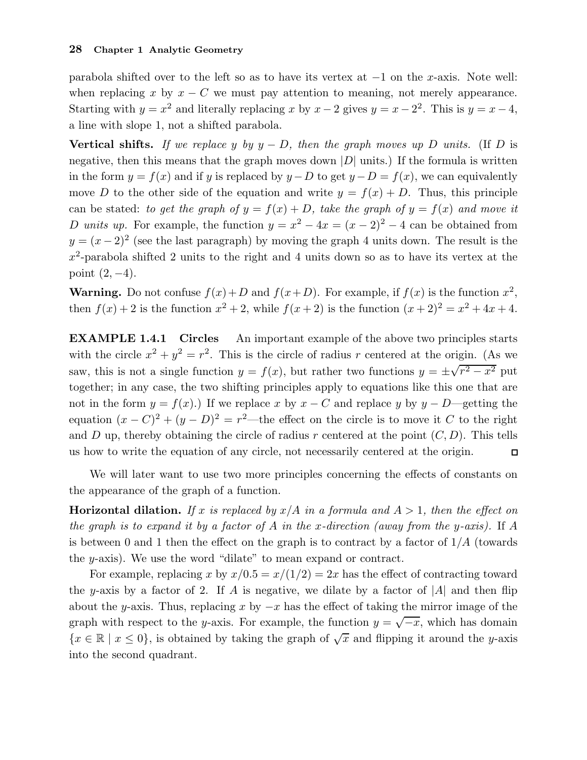parabola shifted over to the left so as to have its vertex at  $-1$  on the x-axis. Note well: when replacing x by  $x - C$  we must pay attention to meaning, not merely appearance. Starting with  $y = x^2$  and literally replacing x by  $x - 2$  gives  $y = x - 2^2$ . This is  $y = x - 4$ , a line with slope 1, not a shifted parabola.

**Vertical shifts.** If we replace y by  $y - D$ , then the graph moves up D units. (If D is negative, then this means that the graph moves down  $|D|$  units.) If the formula is written in the form  $y = f(x)$  and if y is replaced by  $y - D$  to get  $y - D = f(x)$ , we can equivalently move D to the other side of the equation and write  $y = f(x) + D$ . Thus, this principle can be stated: to get the graph of  $y = f(x) + D$ , take the graph of  $y = f(x)$  and move it D units up. For example, the function  $y = x^2 - 4x = (x - 2)^2 - 4$  can be obtained from  $y = (x - 2)^2$  (see the last paragraph) by moving the graph 4 units down. The result is the  $x^2$ -parabola shifted 2 units to the right and 4 units down so as to have its vertex at the point  $(2, -4)$ .

**Warning.** Do not confuse  $f(x) + D$  and  $f(x+D)$ . For example, if  $f(x)$  is the function  $x^2$ , then  $f(x) + 2$  is the function  $x^2 + 2$ , while  $f(x + 2)$  is the function  $(x + 2)^2 = x^2 + 4x + 4$ .

EXAMPLE 1.4.1 Circles An important example of the above two principles starts with the circle  $x^2 + y^2 = r^2$ . This is the circle of radius r centered at the origin. (As we saw, this is not a single function  $y = f(x)$ , but rather two functions  $y = \pm \sqrt{r^2 - x^2}$  put together; in any case, the two shifting principles apply to equations like this one that are not in the form  $y = f(x)$ .) If we replace x by  $x - C$  and replace y by  $y - D$ —getting the equation  $(x - C)^2 + (y - D)^2 = r^2$ —the effect on the circle is to move it C to the right and D up, thereby obtaining the circle of radius r centered at the point  $(C, D)$ . This tells us how to write the equation of any circle, not necessarily centered at the origin.  $\Box$ 

We will later want to use two more principles concerning the effects of constants on the appearance of the graph of a function.

**Horizontal dilation.** If x is replaced by  $x/A$  in a formula and  $A > 1$ , then the effect on the graph is to expand it by a factor of A in the x-direction (away from the y-axis). If A is between 0 and 1 then the effect on the graph is to contract by a factor of  $1/A$  (towards the y-axis). We use the word "dilate" to mean expand or contract.

For example, replacing x by  $x/0.5 = x/(1/2) = 2x$  has the effect of contracting toward the y-axis by a factor of 2. If A is negative, we dilate by a factor of  $|A|$  and then flip about the y-axis. Thus, replacing x by  $-x$  has the effect of taking the mirror image of the graph with respect to the y-axis. For example, the function  $y = \sqrt{-x}$ , which has domain  ${x \in \mathbb{R} \mid x \le 0}$ , is obtained by taking the graph of  $\sqrt{x}$  and flipping it around the y-axis into the second quadrant.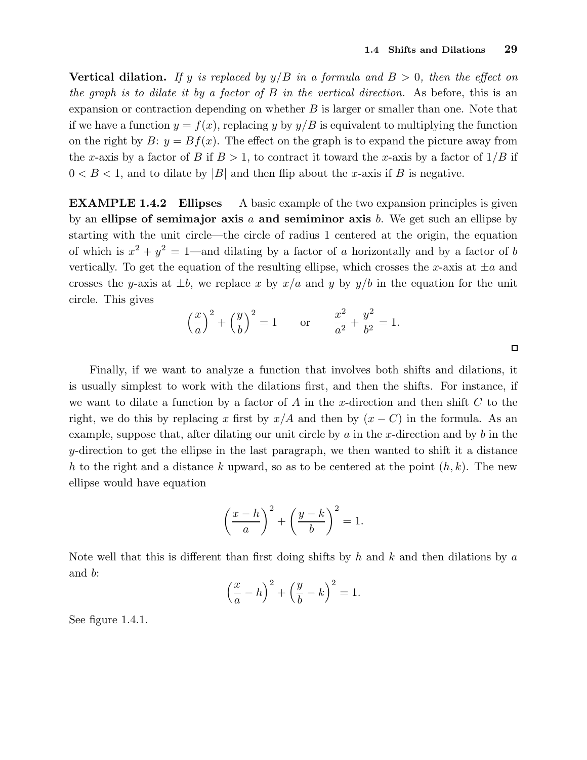**Vertical dilation.** If y is replaced by  $y/B$  in a formula and  $B > 0$ , then the effect on the graph is to dilate it by a factor of  $B$  in the vertical direction. As before, this is an expansion or contraction depending on whether  $B$  is larger or smaller than one. Note that if we have a function  $y = f(x)$ , replacing y by  $y/B$  is equivalent to multiplying the function on the right by  $B: y = Bf(x)$ . The effect on the graph is to expand the picture away from the x-axis by a factor of B if  $B > 1$ , to contract it toward the x-axis by a factor of  $1/B$  if  $0 < B < 1$ , and to dilate by |B| and then flip about the x-axis if B is negative.

EXAMPLE 1.4.2 Ellipses A basic example of the two expansion principles is given by an ellipse of semimajor axis a and semiminor axis b. We get such an ellipse by starting with the unit circle—the circle of radius 1 centered at the origin, the equation of which is  $x^2 + y^2 = 1$ —and dilating by a factor of a horizontally and by a factor of b vertically. To get the equation of the resulting ellipse, which crosses the x-axis at  $\pm a$  and crosses the y-axis at  $\pm b$ , we replace x by  $x/a$  and y by  $y/b$  in the equation for the unit circle. This gives

$$
\left(\frac{x}{a}\right)^2 + \left(\frac{y}{b}\right)^2 = 1
$$
 or  $\frac{x^2}{a^2} + \frac{y^2}{b^2} = 1$ .

Finally, if we want to analyze a function that involves both shifts and dilations, it is usually simplest to work with the dilations first, and then the shifts. For instance, if we want to dilate a function by a factor of A in the x-direction and then shift  $C$  to the right, we do this by replacing x first by  $x/A$  and then by  $(x - C)$  in the formula. As an example, suppose that, after dilating our unit circle by  $a$  in the x-direction and by  $b$  in the y-direction to get the ellipse in the last paragraph, we then wanted to shift it a distance h to the right and a distance k upward, so as to be centered at the point  $(h, k)$ . The new ellipse would have equation

$$
\left(\frac{x-h}{a}\right)^2 + \left(\frac{y-k}{b}\right)^2 = 1.
$$

Note well that this is different than first doing shifts by h and h and then dilations by a and b:

$$
\left(\frac{x}{a} - h\right)^2 + \left(\frac{y}{b} - k\right)^2 = 1.
$$

See figure 1.4.1.

 $\Box$